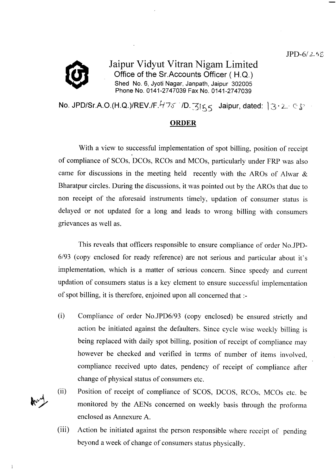

Ĵ

Jaipur Vidyut Vitran Nigam Limited Office of the Sr.Accounts Officer (H.Q.) Shed No. 6, Jyoti Nagar, Janpath, Jaipur 302005 Phone No. 0141-2747039 Fax No. 0141-2747039

No. JPD/Sr.A.O.(H.Q.)/REV./F.475 *I*D.  $3155$  Jaipur, dated:  $3.2$  eg and

## ORDER

With a view to successful implementation of spot billing, position of receipt of compliance of SCOs, DCOs, RCOs and MCOs, particularly under FRP was also came for discussions in the meeting held recently with the AROs of Alwar & Bharatpur circles. During the discussions, it was pointed out by the AROs that due to non receipt of the aforesaid instruments timely, updation of consumer status is delayed or not updated for a long and leads to wrong billing with consumers grievances as well as.

This reveals that officers responsible to ensure compliance of order No.JPD-6193 (copy enclosed for ready reference) are not serious and particular about it's implementation, which is a matter of serious concern. Since speedy and current updation of consumers status is a key element to ensure successful implementation of spot billing, it is therefore, enjoined upon all concemed that :-

Compliance of order No.JPD6/93 (copy enclosed) be ensured strictly and action be initiated against the defaulters. Since cycle wise weekly billing is being replaced with daily spot billing, position of receipt of compliance may however be checked and verified in terms of number of items involved, compliance received upto dates, pendency of receipt of compliance after change of physical status of consumers etc. (i)



Action be initiated against the person responsible where receipt of pending beyond a week of change of consumers status physically.  $(iii)$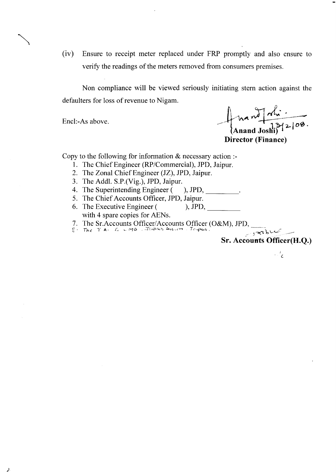$(iv)$ Ensure to receipt meter replaced under FRP promptly and also ensure to verify the readings of the meters removed from consumers premises.

Non compliance will be viewed seriously initiating stern action against the defaulters for loss of revenue to Nigam.

Encl:-As above.

Mandfalin<br>(Anand Joshi) 12/08. **Director (Finance)** 

Copy to the following for information  $\&$  necessary action :-

- 1. The Chief Engineer (RP/Commercial), JPD, Jaipur.
- 2. The Zonal Chief Engineer (JZ), JPD, Jaipur.
- 3. The Addl. S.P.(Vig.), JPD, Jaipur.

4. The Superintending Engineer (  $\rho$ , JPD,

- 5. The Chief Accounts Officer, JPD, Jaipur.
- 6. The Executive Engineer (  $\mu$ , JPD, with 4 spare copies for AENs.
- 7. The Sr. Accounts Officer/Accounts Officer (O&M), JPD,
- 

orabus **Sr. Accounts Officer(H.Q.)** 

 $\mathcal{L}^{\dagger}$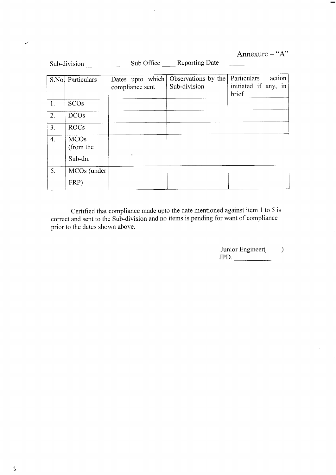Annexure  $-$  "A"

| Sub-division |                                     |                                     | Sub Office Reporting Date           |                                                        |
|--------------|-------------------------------------|-------------------------------------|-------------------------------------|--------------------------------------------------------|
|              | S.No. Particulars                   | Dates upto which<br>compliance sent | Observations by the<br>Sub-division | Particulars<br>action<br>initiated if any, in<br>brief |
| 1.           | <b>SCOs</b>                         |                                     |                                     |                                                        |
| 2.           | <b>DCOs</b>                         |                                     |                                     |                                                        |
| 3.           | <b>ROCs</b>                         |                                     |                                     |                                                        |
| 4.           | <b>MCOs</b><br>(from the<br>Sub-dn. |                                     |                                     |                                                        |
| 5.           | MCOs (under<br>FRP)                 |                                     |                                     |                                                        |

Certified that compliance made upto the date mentioned against item 1 to 5 is correct and sent to the Sub-division and no items is pending for want of compliance prior to the dates shown above.

> Junior Engineer() JPD,

> > $\ddot{\phantom{0}}$

 $\ddot{\phantom{a}}$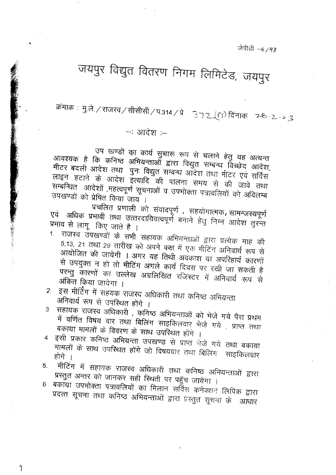जेपीडी -6/93

## जयपुर विद्युत वितरण निगम लिमिटेड, जयपुर

क्रमाकः मु.ले. / राजस्व / सीसीसी / प.314 / प्रे = 372 (९ ) दिनाकः = 2-8 - 2 - 2 -3

- आदेश :-

उप खण्डों का कार्य सुचारू रूप से चलाने हेतु यह अत्यन्त आवश्यक है कि कनिष्ठ अभियन्ताओं द्वारा विद्युत सम्बन्ध विच्छेद आदेश, मीटर बदली आदेश तथा पुनः विद्युत सम्बन्ध आदेश तथा मीटर एवं सर्विस लाइन हटाने के आदेश इत्यादि की पालना समय से की जावे तथा सम्बन्धित आदेशों ,महत्वपूर्ण सूचनाओं व उपभोक्ता पत्रावलियों को अविलम्ब उपखण्डों को प्रेषित किया जाय ।

प्रचलित प्रणाली को संवादपूर्ण, सहयोगात्मक, सामन्जस्यपूर्ण एवं अधिक प्रभावी तथा उत्तरदायिवत्वपूर्ण बनाने हेतु निम्न आदेश तुरन्त प्रभाव से लागू किए जाते है ।

- 1. राजस्व उपखण्डों के सभी सहायक अभियन्ताओं द्वारा प्रत्येक माह की 5,13, 21 तथा 29 तारीख को अपने कक्ष में एक मीटिंग अनिवार्य रूप से आयोजित की जायेगी । अगर यह तिथी अवकाश या अपरिहार्य कारणों से उपयुक्त न हो तो मीटिंग अगले कार्य दिवस पर रखी जा सकती है परन्तु कारणों का उल्लेख अग्रलिखित रजिस्टर में अनिवार्य रूप से अंकित किया जायेगा ।
- 2. इस मीटिंग में सहयक राजस्व अधिकारी तथा कनिष्ठ अभियन्ता अनिवार्य रूप से उपस्थित होंगे ।
- 3 सहायक राजस्व अधिकारी , कनिष्ठ अभियन्ताओं को भेजे गये पैरा प्रथम में वर्णित विषय वार तथा बिलिंग साइकिलवार भेजे गये , प्राप्त तथा बकाया मामलों के विवरण के साथ उपरिथत होंगे ।
- इसी प्रकार कनिष्ठ अभियन्ता उपखण्ड से प्राप्त भेजे गये तथा बकाया  $\overline{4}$ मामलों के साथ उपरिथत होंगे जो विषयवार तथा बिलिंग साइकिलवार होगे ।
- मीटिंग में सहायक राजस्व अधिकारी तथा कनिष्ठ अभियन्ताओं द्वारा  $5<sub>1</sub>$ प्रस्तुत अन्तर को जानकर सही स्थिती पर पहुँच जायेगा ।
- 6 बकाया उपभोक्ता पत्रावलियों का मिलान सर्विस कनेक्शन लिपिक द्वारा प्रदत्त सूचना तथा कनिष्ठ अभियन्ताओं द्वारा प्रस्तुत सूचना के आधार

 $\mathfrak{h}$